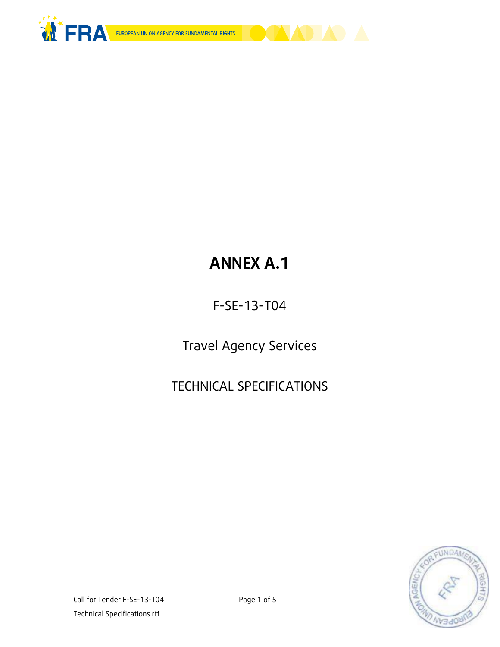



# **ANNEX A.1**

F-SE-13-T04

Travel Agency Services

TECHNICAL SPECIFICATIONS

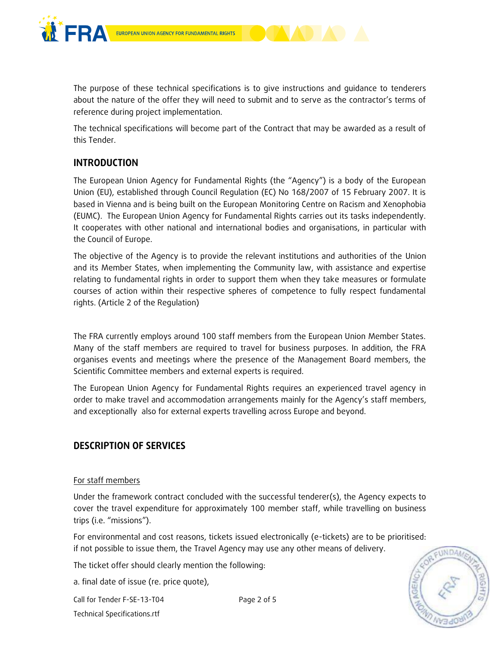

The purpose of these technical specifications is to give instructions and guidance to tenderers about the nature of the offer they will need to submit and to serve as the contractor's terms of reference during project implementation.

The technical specifications will become part of the Contract that may be awarded as a result of this Tender.

# **INTRODUCTION**

The European Union Agency for Fundamental Rights (the "Agency") is a body of the European Union (EU), established through Council Regulation (EC) No 168/2007 of 15 February 2007. It is based in Vienna and is being built on the European Monitoring Centre on Racism and Xenophobia (EUMC). The European Union Agency for Fundamental Rights carries out its tasks independently. It cooperates with other national and international bodies and organisations, in particular with the Council of Europe.

The objective of the Agency is to provide the relevant institutions and authorities of the Union and its Member States, when implementing the Community law, with assistance and expertise relating to fundamental rights in order to support them when they take measures or formulate courses of action within their respective spheres of competence to fully respect fundamental rights. (Article 2 of the Regulation)

The FRA currently employs around 100 staff members from the European Union Member States. Many of the staff members are required to travel for business purposes. In addition, the FRA organises events and meetings where the presence of the Management Board members, the Scientific Committee members and external experts is required.

The European Union Agency for Fundamental Rights requires an experienced travel agency in order to make travel and accommodation arrangements mainly for the Agency's staff members, and exceptionally also for external experts travelling across Europe and beyond.

## **DESCRIPTION OF SERVICES**

## For staff members

Under the framework contract concluded with the successful tenderer(s), the Agency expects to cover the travel expenditure for approximately 100 member staff, while travelling on business trips (i.e. "missions").

For environmental and cost reasons, tickets issued electronically (e-tickets) are to be prioritised: if not possible to issue them, the Travel Agency may use any other means of delivery.

The ticket offer should clearly mention the following:

a. final date of issue (re. price quote),

EUNDAN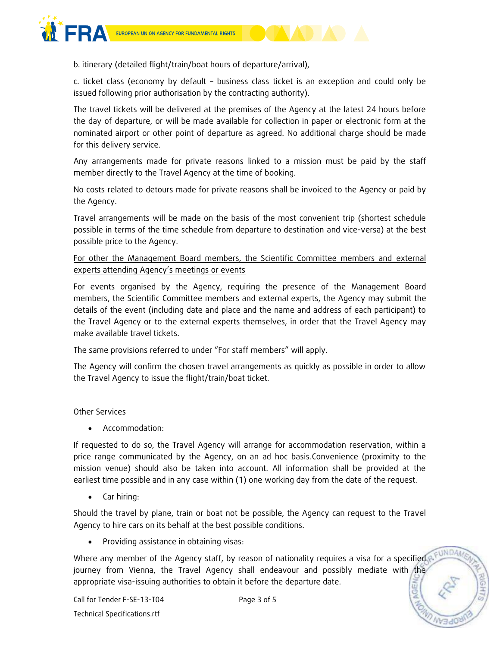

b. itinerary (detailed flight/train/boat hours of departure/arrival),

c. ticket class (economy by default – business class ticket is an exception and could only be issued following prior authorisation by the contracting authority).

The travel tickets will be delivered at the premises of the Agency at the latest 24 hours before the day of departure, or will be made available for collection in paper or electronic form at the nominated airport or other point of departure as agreed. No additional charge should be made for this delivery service.

Any arrangements made for private reasons linked to a mission must be paid by the staff member directly to the Travel Agency at the time of booking.

No costs related to detours made for private reasons shall be invoiced to the Agency or paid by the Agency.

Travel arrangements will be made on the basis of the most convenient trip (shortest schedule possible in terms of the time schedule from departure to destination and vice-versa) at the best possible price to the Agency.

For other the Management Board members, the Scientific Committee members and external experts attending Agency's meetings or events

For events organised by the Agency, requiring the presence of the Management Board members, the Scientific Committee members and external experts, the Agency may submit the details of the event (including date and place and the name and address of each participant) to the Travel Agency or to the external experts themselves, in order that the Travel Agency may make available travel tickets.

The same provisions referred to under "For staff members" will apply.

The Agency will confirm the chosen travel arrangements as quickly as possible in order to allow the Travel Agency to issue the flight/train/boat ticket.

#### Other Services

Accommodation:

If requested to do so, the Travel Agency will arrange for accommodation reservation, within a price range communicated by the Agency, on an ad hoc basis.Convenience (proximity to the mission venue) should also be taken into account. All information shall be provided at the earliest time possible and in any case within (1) one working day from the date of the request.

• Car hiring:

Should the travel by plane, train or boat not be possible, the Agency can request to the Travel Agency to hire cars on its behalf at the best possible conditions.

Providing assistance in obtaining visas:

Where any member of the Agency staff, by reason of nationality requires a visa for a specified journey from Vienna, the Travel Agency shall endeavour and possibly mediate with the appropriate visa-issuing authorities to obtain it before the departure date.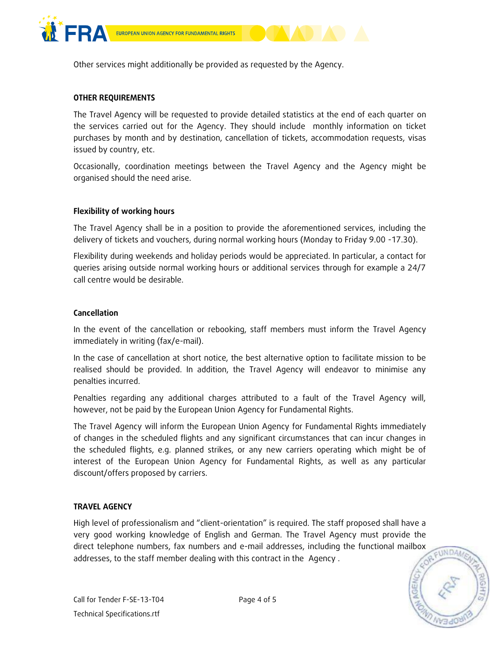

Other services might additionally be provided as requested by the Agency.

#### **OTHER REQUIREMENTS**

The Travel Agency will be requested to provide detailed statistics at the end of each quarter on the services carried out for the Agency. They should include monthly information on ticket purchases by month and by destination, cancellation of tickets, accommodation requests, visas issued by country, etc.

Occasionally, coordination meetings between the Travel Agency and the Agency might be organised should the need arise.

#### **Flexibility of working hours**

The Travel Agency shall be in a position to provide the aforementioned services, including the delivery of tickets and vouchers, during normal working hours (Monday to Friday 9.00 -17.30).

Flexibility during weekends and holiday periods would be appreciated. In particular, a contact for queries arising outside normal working hours or additional services through for example a 24/7 call centre would be desirable.

#### **Cancellation**

In the event of the cancellation or rebooking, staff members must inform the Travel Agency immediately in writing (fax/e-mail).

In the case of cancellation at short notice, the best alternative option to facilitate mission to be realised should be provided. In addition, the Travel Agency will endeavor to minimise any penalties incurred.

Penalties regarding any additional charges attributed to a fault of the Travel Agency will, however, not be paid by the European Union Agency for Fundamental Rights.

The Travel Agency will inform the European Union Agency for Fundamental Rights immediately of changes in the scheduled flights and any significant circumstances that can incur changes in the scheduled flights, e.g. planned strikes, or any new carriers operating which might be of interest of the European Union Agency for Fundamental Rights, as well as any particular discount/offers proposed by carriers.

#### **TRAVEL AGENCY**

High level of professionalism and "client-orientation" is required. The staff proposed shall have a very good working knowledge of English and German. The Travel Agency must provide the direct telephone numbers, fax numbers and e-mail addresses, including the functional mailbox addresses, to the staff member dealing with this contract in the Agency .